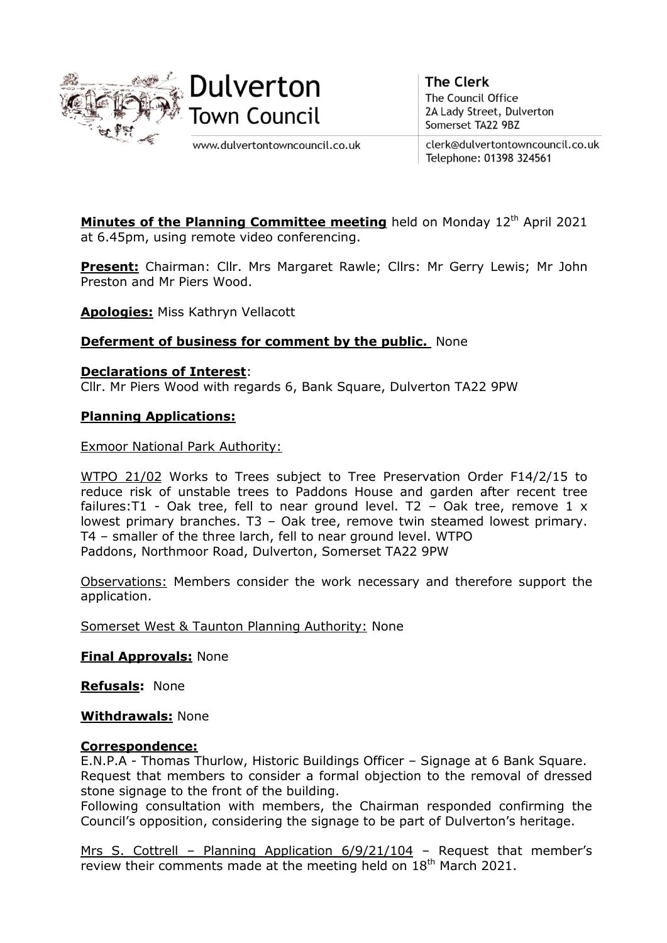



www.dulvertontowncouncil.co.uk

**The Clerk** The Council Office 2A Lady Street, Dulverton Somerset TA22 9BZ

clerk@dulvertontowncouncil.co.uk Telephone: 01398 324561

Minutes of the Planning Committee meeting held on Monday 12<sup>th</sup> April 2021 at 6.45pm, using remote video conferencing.

**Present:** Chairman: Cllr. Mrs Margaret Rawle; Cllrs: Mr Gerry Lewis; Mr John Preston and Mr Piers Wood.

**Apologies:** Miss Kathryn Vellacott

## **Deferment of business for comment by the public.** None

**Declarations of Interest**:

Cllr. Mr Piers Wood with regards 6, Bank Square, Dulverton TA22 9PW

## **Planning Applications:**

Exmoor National Park Authority:

WTPO 21/02 Works to Trees subject to Tree Preservation Order F14/2/15 to reduce risk of unstable trees to Paddons House and garden after recent tree failures:  $T1 - Oak$  tree, fell to near ground level.  $T2 - Oak$  tree, remove 1 x lowest primary branches. T3 – Oak tree, remove twin steamed lowest primary. T4 – smaller of the three larch, fell to near ground level. WTPO Paddons, Northmoor Road, Dulverton, Somerset TA22 9PW

Observations: Members consider the work necessary and therefore support the application.

Somerset West & Taunton Planning Authority: None

**Final Approvals:** None

**Refusals:** None

**Withdrawals:** None

## **Correspondence:**

E.N.P.A - Thomas Thurlow, Historic Buildings Officer – Signage at 6 Bank Square. Request that members to consider a formal objection to the removal of dressed stone signage to the front of the building.

Following consultation with members, the Chairman responded confirming the Council's opposition, considering the signage to be part of Dulverton's heritage.

Mrs S. Cottrell – Planning Application 6/9/21/104 – Request that member's review their comments made at the meeting held on 18<sup>th</sup> March 2021.